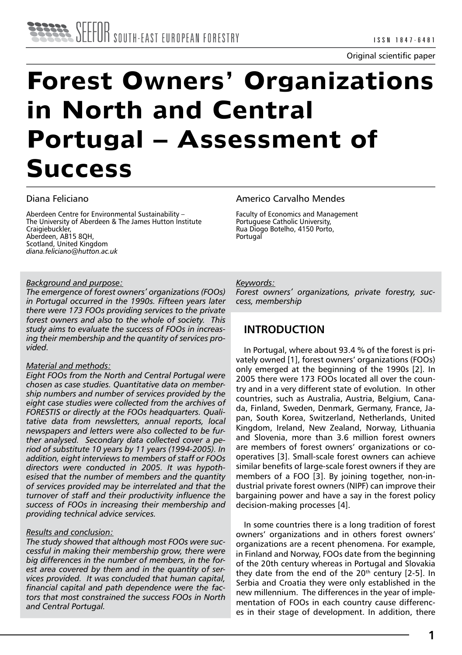# **Forest Owners' Organizations in North and Central Portugal – Assessment of Success**

# Diana Feliciano

Aberdeen Centre for Environmental Sustainability – The University of Aberdeen & The James Hutton Institute Craigiebuckler, Aberdeen, AB15 8QH, Scotland, United Kingdom *diana.feliciano@hutton.ac.uk*

# *Background and purpose:*

*The emergence of forest owners' organizations (FOOs) in Portugal occurred in the 1990s. Fifteen years later there were 173 FOOs providing services to the private forest owners and also to the whole of society. This study aims to evaluate the success of FOOs in increasing their membership and the quantity of services provided.* 

# *Material and methods:*

*Eight FOOs from the North and Central Portugal were chosen as case studies. Quantitative data on membership numbers and number of services provided by the eight case studies were collected from the archives of FORESTIS or directly at the FOOs headquarters. Qualitative data from newsletters, annual reports, local newspapers and letters were also collected to be further analysed. Secondary data collected cover a period of substitute 10 years by 11 years (1994-2005). In addition, eight interviews to members of staff or FOOs directors were conducted in 2005. It was hypothesised that the number of members and the quantity of services provided may be interrelated and that the turnover of staff and their productivity influence the success of FOOs in increasing their membership and providing technical advice services.* 

# *Results and conclusion:*

*The study showed that although most FOOs were successful in making their membership grow, there were big differences in the number of members, in the forest area covered by them and in the quantity of services provided. It was concluded that human capital, financial capital and path dependence were the factors that most constrained the success FOOs in North and Central Portugal.* 

# Americo Carvalho Mendes

Faculty of Economics and Management Portuguese Catholic University, Rua Diogo Botelho, 4150 Porto, **Portugal** 

## *Keywords:*

*Forest owners' organizations, private forestry, success, membership* 

# **INTRODUCTION**

In Portugal, where about 93.4 % of the forest is privately owned [1], forest owners' organizations (FOOs) only emerged at the beginning of the 1990s [2]. In 2005 there were 173 FOOs located all over the country and in a very different state of evolution. In other countries, such as Australia, Austria, Belgium, Canada, Finland, Sweden, Denmark, Germany, France, Japan, South Korea, Switzerland, Netherlands, United Kingdom, Ireland, New Zealand, Norway, Lithuania and Slovenia, more than 3.6 million forest owners are members of forest owners' organizations or cooperatives [3]. Small-scale forest owners can achieve similar benefits of large-scale forest owners if they are members of a FOO [3]. By joining together, non-industrial private forest owners (NIPF) can improve their bargaining power and have a say in the forest policy decision-making processes [4].

In some countries there is a long tradition of forest owners' organizations and in others forest owners' organizations are a recent phenomena. For example, in Finland and Norway, FOOs date from the beginning of the 20th century whereas in Portugal and Slovakia they date from the end of the  $20<sup>th</sup>$  century  $[2-5]$ . In Serbia and Croatia they were only established in the new millennium. The differences in the year of implementation of FOOs in each country cause differences in their stage of development. In addition, there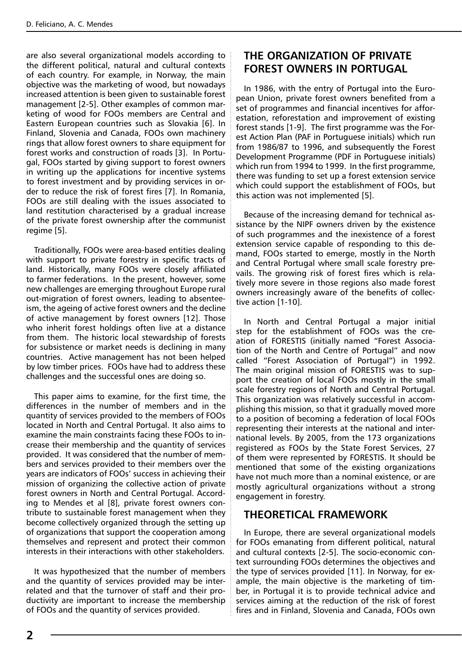are also several organizational models according to the different political, natural and cultural contexts of each country. For example, in Norway, the main objective was the marketing of wood, but nowadays increased attention is been given to sustainable forest management [2-5]. Other examples of common marketing of wood for FOOs members are Central and Eastern European countries such as Slovakia [6]. In Finland, Slovenia and Canada, FOOs own machinery rings that allow forest owners to share equipment for forest works and construction of roads [3]. In Portugal, FOOs started by giving support to forest owners in writing up the applications for incentive systems to forest investment and by providing services in order to reduce the risk of forest fires [7]. In Romania, FOOs are still dealing with the issues associated to land restitution characterised by a gradual increase of the private forest ownership after the communist regime [5].

Traditionally, FOOs were area-based entities dealing with support to private forestry in specific tracts of land. Historically, many FOOs were closely affiliated to farmer federations. In the present, however, some new challenges are emerging throughout Europe rural out-migration of forest owners, leading to absenteeism, the ageing of active forest owners and the decline of active management by forest owners [12]. Those who inherit forest holdings often live at a distance from them. The historic local stewardship of forests for subsistence or market needs is declining in many countries. Active management has not been helped by low timber prices. FOOs have had to address these challenges and the successful ones are doing so.

This paper aims to examine, for the first time, the differences in the number of members and in the quantity of services provided to the members of FOOs located in North and Central Portugal. It also aims to examine the main constraints facing these FOOs to increase their membership and the quantity of services provided. It was considered that the number of members and services provided to their members over the years are indicators of FOOs' success in achieving their mission of organizing the collective action of private forest owners in North and Central Portugal. According to Mendes et al [8], private forest owners contribute to sustainable forest management when they become collectively organized through the setting up of organizations that support the cooperation among themselves and represent and protect their common interests in their interactions with other stakeholders.

It was hypothesized that the number of members and the quantity of services provided may be interrelated and that the turnover of staff and their productivity are important to increase the membership of FOOs and the quantity of services provided.

# **THE ORGANIZATION OF PRIVATE FOREST OWNERS IN PORTUGAL**

In 1986, with the entry of Portugal into the European Union, private forest owners benefited from a set of programmes and financial incentives for afforestation, reforestation and improvement of existing forest stands [1-9]. The first programme was the Forest Action Plan (PAF in Portuguese initials) which run from 1986/87 to 1996, and subsequently the Forest Development Programme (PDF in Portuguese initials) which run from 1994 to 1999. In the first programme, there was funding to set up a forest extension service which could support the establishment of FOOs, but this action was not implemented [5].

Because of the increasing demand for technical assistance by the NIPF owners driven by the existence of such programmes and the inexistence of a forest extension service capable of responding to this demand, FOOs started to emerge, mostly in the North and Central Portugal where small scale forestry prevails. The growing risk of forest fires which is relatively more severe in those regions also made forest owners increasingly aware of the benefits of collective action [1-10].

In North and Central Portugal a major initial step for the establishment of FOOs was the creation of FORESTIS (initially named "Forest Association of the North and Centre of Portugal" and now called "Forest Association of Portugal") in 1992. The main original mission of FORESTIS was to support the creation of local FOOs mostly in the small scale forestry regions of North and Central Portugal. This organization was relatively successful in accomplishing this mission, so that it gradually moved more to a position of becoming a federation of local FOOs representing their interests at the national and international levels. By 2005, from the 173 organizations registered as FOOs by the State Forest Services, 27 of them were represented by FORESTIS. It should be mentioned that some of the existing organizations have not much more than a nominal existence, or are mostly agricultural organizations without a strong engagement in forestry.

# **THEORETICAL FRAMEWORK**

In Europe, there are several organizational models for FOOs emanating from different political, natural and cultural contexts [2-5]. The socio-economic context surrounding FOOs determines the objectives and the type of services provided [11]. In Norway, for example, the main objective is the marketing of timber, in Portugal it is to provide technical advice and services aiming at the reduction of the risk of forest fires and in Finland, Slovenia and Canada, FOOs own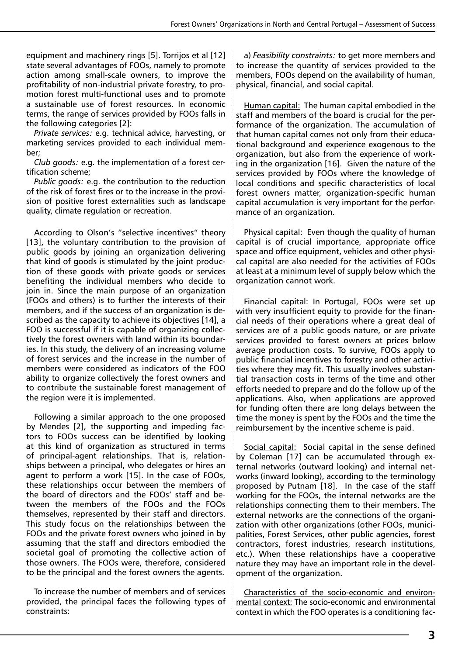equipment and machinery rings [5]. Torrijos et al [12] state several advantages of FOOs, namely to promote action among small-scale owners, to improve the profitability of non-industrial private forestry, to promotion forest multi-functional uses and to promote a sustainable use of forest resources. In economic terms, the range of services provided by FOOs falls in the following categories [2]:

*Private services:* e.g. technical advice, harvesting, or marketing services provided to each individual member;

*Club goods:* e.g. the implementation of a forest certification scheme;

*Public goods:* e.g. the contribution to the reduction of the risk of forest fires or to the increase in the provision of positive forest externalities such as landscape quality, climate regulation or recreation.

According to Olson's "selective incentives" theory [13], the voluntary contribution to the provision of public goods by joining an organization delivering that kind of goods is stimulated by the joint production of these goods with private goods or services benefiting the individual members who decide to join in. Since the main purpose of an organization (FOOs and others) is to further the interests of their members, and if the success of an organization is described as the capacity to achieve its objectives [14], a FOO is successful if it is capable of organizing collectively the forest owners with land within its boundaries. In this study, the delivery of an increasing volume of forest services and the increase in the number of members were considered as indicators of the FOO ability to organize collectively the forest owners and to contribute the sustainable forest management of the region were it is implemented.

Following a similar approach to the one proposed by Mendes [2], the supporting and impeding factors to FOOs success can be identified by looking at this kind of organization as structured in terms of principal-agent relationships. That is, relationships between a principal, who delegates or hires an agent to perform a work [15]. In the case of FOOs, these relationships occur between the members of the board of directors and the FOOs' staff and between the members of the FOOs and the FOOs themselves, represented by their staff and directors. This study focus on the relationships between the FOOs and the private forest owners who joined in by assuming that the staff and directors embodied the societal goal of promoting the collective action of those owners. The FOOs were, therefore, considered to be the principal and the forest owners the agents.

To increase the number of members and of services provided, the principal faces the following types of constraints:

a) *Feasibility constraints:* to get more members and to increase the quantity of services provided to the members, FOOs depend on the availability of human, physical, financial, and social capital.

Human capital: The human capital embodied in the staff and members of the board is crucial for the performance of the organization. The accumulation of that human capital comes not only from their educational background and experience exogenous to the organization, but also from the experience of working in the organization [16]. Given the nature of the services provided by FOOs where the knowledge of local conditions and specific characteristics of local forest owners matter, organization-specific human capital accumulation is very important for the performance of an organization.

Physical capital: Even though the quality of human capital is of crucial importance, appropriate office space and office equipment, vehicles and other physical capital are also needed for the activities of FOOs at least at a minimum level of supply below which the organization cannot work.

Financial capital: In Portugal, FOOs were set up with very insufficient equity to provide for the financial needs of their operations where a great deal of services are of a public goods nature, or are private services provided to forest owners at prices below average production costs. To survive, FOOs apply to public financial incentives to forestry and other activities where they may fit. This usually involves substantial transaction costs in terms of the time and other efforts needed to prepare and do the follow up of the applications. Also, when applications are approved for funding often there are long delays between the time the money is spent by the FOOs and the time the reimbursement by the incentive scheme is paid.

Social capital: Social capital in the sense defined by Coleman [17] can be accumulated through external networks (outward looking) and internal networks (inward looking), according to the terminology proposed by Putnam [18]. In the case of the staff working for the FOOs, the internal networks are the relationships connecting them to their members. The external networks are the connections of the organization with other organizations (other FOOs, municipalities, Forest Services, other public agencies, forest contractors, forest industries, research institutions, etc.). When these relationships have a cooperative nature they may have an important role in the development of the organization.

Characteristics of the socio-economic and environmental context: The socio-economic and environmental context in which the FOO operates is a conditioning fac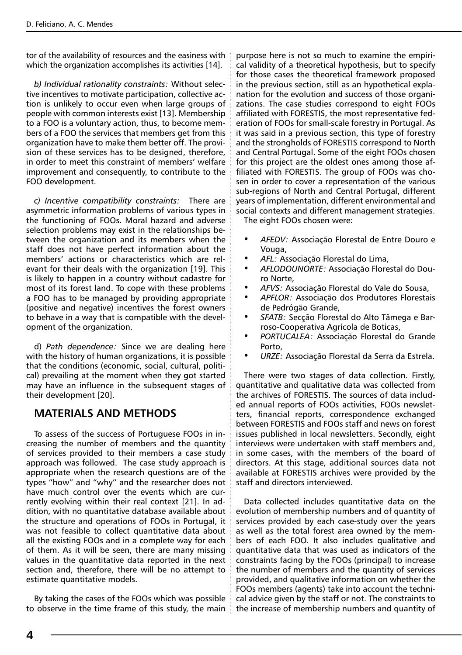tor of the availability of resources and the easiness with which the organization accomplishes its activities [14].

*b) Individual rationality constraints:* Without selective incentives to motivate participation, collective action is unlikely to occur even when large groups of people with common interests exist [13]. Membership to a FOO is a voluntary action, thus, to become members of a FOO the services that members get from this organization have to make them better off. The provision of these services has to be designed, therefore, in order to meet this constraint of members' welfare improvement and consequently, to contribute to the FOO development.

*c) Incentive compatibility constraints:* There are asymmetric information problems of various types in the functioning of FOOs. Moral hazard and adverse selection problems may exist in the relationships between the organization and its members when the staff does not have perfect information about the members' actions or characteristics which are relevant for their deals with the organization [19]. This is likely to happen in a country without cadastre for most of its forest land. To cope with these problems a FOO has to be managed by providing appropriate (positive and negative) incentives the forest owners to behave in a way that is compatible with the development of the organization.

d) *Path dependence:* Since we are dealing here with the history of human organizations, it is possible that the conditions (economic, social, cultural, political) prevailing at the moment when they got started may have an influence in the subsequent stages of their development [20].

# **MATERIALS AND METHODS**

To assess of the success of Portuguese FOOs in increasing the number of members and the quantity of services provided to their members a case study approach was followed. The case study approach is appropriate when the research questions are of the types "how" and "why" and the researcher does not have much control over the events which are currently evolving within their real context [21]. In addition, with no quantitative database available about the structure and operations of FOOs in Portugal, it was not feasible to collect quantitative data about all the existing FOOs and in a complete way for each of them. As it will be seen, there are many missing values in the quantitative data reported in the next section and, therefore, there will be no attempt to estimate quantitative models.

By taking the cases of the FOOs which was possible to observe in the time frame of this study, the main purpose here is not so much to examine the empirical validity of a theoretical hypothesis, but to specify for those cases the theoretical framework proposed in the previous section, still as an hypothetical explanation for the evolution and success of those organizations. The case studies correspond to eight FOOs affiliated with FORESTIS, the most representative federation of FOOs for small-scale forestry in Portugal. As it was said in a previous section, this type of forestry and the strongholds of FORESTIS correspond to North and Central Portugal. Some of the eight FOOs chosen for this project are the oldest ones among those affiliated with FORESTIS. The group of FOOs was chosen in order to cover a representation of the various sub-regions of North and Central Portugal, different years of implementation, different environmental and social contexts and different management strategies. The eight FOOs chosen were:

- AFEDV: Associação Florestal de Entre Douro e Vouga,
- AFL: Associação Florestal do Lima,
- *• AFLODOUNORTE:* Associação Florestal do Douro Norte,
- AFVS: Associação Florestal do Vale do Sousa,
- APFLOR: Associação dos Produtores Florestais de Pedrógão Grande,
- SFATB: Secção Florestal do Alto Tâmega e Barroso-Cooperativa Agrícola de Boticas,
- *• PORTUCALEA:* Associação Florestal do Grande Porto,
- *URZE: Associação Florestal da Serra da Estrela.*

There were two stages of data collection. Firstly, quantitative and qualitative data was collected from the archives of FORESTIS. The sources of data included annual reports of FOOs activities, FOOs newsletters, financial reports, correspondence exchanged between FORESTIS and FOOs staff and news on forest issues published in local newsletters. Secondly, eight interviews were undertaken with staff members and, in some cases, with the members of the board of directors. At this stage, additional sources data not available at FORESTIS archives were provided by the staff and directors interviewed.

Data collected includes quantitative data on the evolution of membership numbers and of quantity of services provided by each case-study over the years as well as the total forest area owned by the members of each FOO. It also includes qualitative and quantitative data that was used as indicators of the constraints facing by the FOOs (principal) to increase the number of members and the quantity of services provided, and qualitative information on whether the FOOs members (agents) take into account the technical advice given by the staff or not. The constraints to the increase of membership numbers and quantity of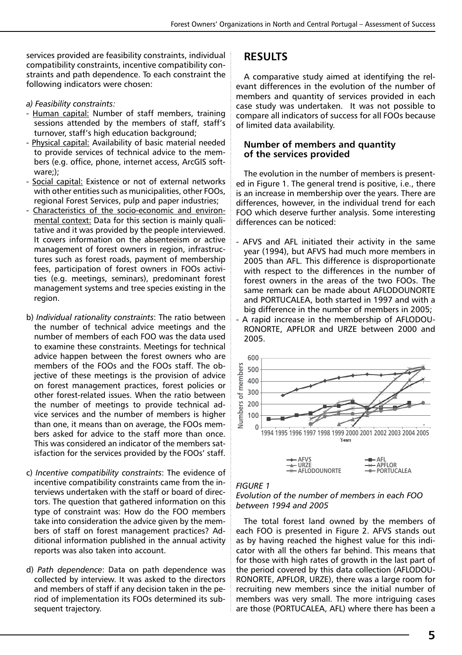services provided are feasibility constraints, individual compatibility constraints, incentive compatibility constraints and path dependence. To each constraint the following indicators were chosen:

## *a) Feasibility constraints:*

- Human capital: Number of staff members, training sessions attended by the members of staff, staff's turnover, staff's high education background;
- Physical capital: Availability of basic material needed to provide services of technical advice to the members (e.g. office, phone, internet access, ArcGIS software;);
- Social capital: Existence or not of external networks with other entities such as municipalities, other FOOs, regional Forest Services, pulp and paper industries;
- Characteristics of the socio-economic and environmental context: Data for this section is mainly qualitative and it was provided by the people interviewed. It covers information on the absenteeism or active management of forest owners in region, infrastructures such as forest roads, payment of membership fees, participation of forest owners in FOOs activities (e.g. meetings, seminars), predominant forest management systems and tree species existing in the region.
- b) *Individual rationality constraints*: The ratio between the number of technical advice meetings and the number of members of each FOO was the data used to examine these constraints. Meetings for technical advice happen between the forest owners who are members of the FOOs and the FOOs staff. The objective of these meetings is the provision of advice on forest management practices, forest policies or other forest-related issues. When the ratio between the number of meetings to provide technical advice services and the number of members is higher than one, it means than on average, the FOOs members asked for advice to the staff more than once. This was considered an indicator of the members satisfaction for the services provided by the FOOs' staff.
- c) *Incentive compatibility constraints*: The evidence of incentive compatibility constraints came from the interviews undertaken with the staff or board of directors. The question that gathered information on this type of constraint was: How do the FOO members take into consideration the advice given by the members of staff on forest management practices? Additional information published in the annual activity reports was also taken into account.
- d) *Path dependence*: Data on path dependence was collected by interview. It was asked to the directors and members of staff if any decision taken in the period of implementation its FOOs determined its subsequent trajectory.

# **RESULTS**

A comparative study aimed at identifying the relevant differences in the evolution of the number of members and quantity of services provided in each case study was undertaken. It was not possible to compare all indicators of success for all FOOs because of limited data availability.

# **Number of members and quantity of the services provided**

The evolution in the number of members is presented in Figure 1. The general trend is positive, i.e., there is an increase in membership over the years. There are differences, however, in the individual trend for each FOO which deserve further analysis. Some interesting differences can be noticed:

- AFVS and AFL initiated their activity in the same year (1994), but AFVS had much more members in 2005 than AFL. This difference is disproportionate with respect to the differences in the number of forest owners in the areas of the two FOOs. The same remark can be made about AFLODOUNORTE and PORTUCALEA, both started in 1997 and with a big difference in the number of members in 2005;
- A rapid increase in the membership of AFLODOU-RONORTE, APFLOR and URZE between 2000 and 2005.





#### *FIGURE 1*

## *Evolution of the number of members in each FOO between 1994 and 2005*

The total forest land owned by the members of each FOO is presented in Figure 2. AFVS stands out as by having reached the highest value for this indicator with all the others far behind. This means that for those with high rates of growth in the last part of the period covered by this data collection (AFLODOU-RONORTE, APFLOR, URZE), there was a large room for recruiting new members since the initial number of members was very small. The more intriguing cases are those (PORTUCALEA, AFL) where there has been a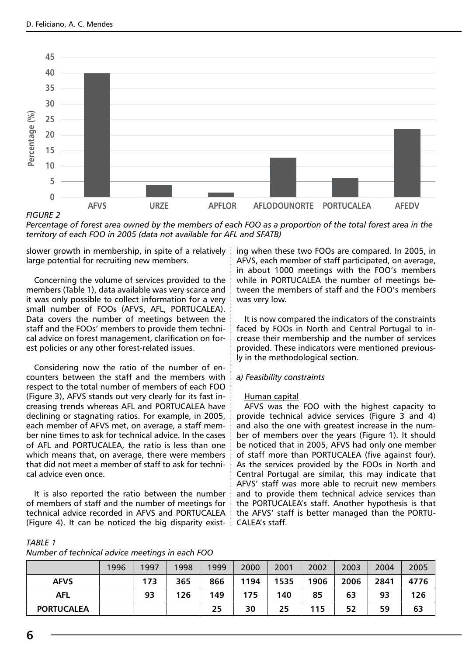

## *FIGURE 2*

*Percentage of forest area owned by the members of each FOO as a proportion of the total forest area in the territory of each FOO in 2005 (data not available for AFL and SFATB)*

slower growth in membership, in spite of a relatively large potential for recruiting new members.

Concerning the volume of services provided to the members (Table 1), data available was very scarce and it was only possible to collect information for a very small number of FOOs (AFVS, AFL, PORTUCALEA). Data covers the number of meetings between the staff and the FOOs' members to provide them technical advice on forest management, clarification on forest policies or any other forest-related issues.

Considering now the ratio of the number of encounters between the staff and the members with respect to the total number of members of each FOO (Figure 3), AFVS stands out very clearly for its fast increasing trends whereas AFL and PORTUCALEA have declining or stagnating ratios. For example, in 2005, each member of AFVS met, on average, a staff member nine times to ask for technical advice. In the cases of AFL and PORTUCALEA, the ratio is less than one which means that, on average, there were members that did not meet a member of staff to ask for technical advice even once.

It is also reported the ratio between the number of members of staff and the number of meetings for technical advice recorded in AFVS and PORTUCALEA (Figure 4). It can be noticed the big disparity existing when these two FOOs are compared. In 2005, in AFVS, each member of staff participated, on average, in about 1000 meetings with the FOO's members while in PORTUCALEA the number of meetings between the members of staff and the FOO's members was very low.

It is now compared the indicators of the constraints faced by FOOs in North and Central Portugal to increase their membership and the number of services provided. These indicators were mentioned previously in the methodological section.

### *a) Feasibility constraints*

#### Human capital

AFVS was the FOO with the highest capacity to provide technical advice services (Figure 3 and 4) and also the one with greatest increase in the number of members over the years (Figure 1). It should be noticed that in 2005, AFVS had only one member of staff more than PORTUCALEA (five against four). As the services provided by the FOOs in North and Central Portugal are similar, this may indicate that AFVS' staff was more able to recruit new members and to provide them technical advice services than the PORTUCALEA's staff. Another hypothesis is that the AFVS' staff is better managed than the PORTU-CALEA's staff.

| <b>TABLE 1</b>                                  |  |
|-------------------------------------------------|--|
| Number of technical advice meetings in each FOO |  |

|                   | 1996 | 1997 | 1998 | 1999 | 2000 | 2001 | 2002 | 2003 | 2004 | 2005 |
|-------------------|------|------|------|------|------|------|------|------|------|------|
| <b>AFVS</b>       |      | 173  | 365  | 866  | 1194 | 1535 | 1906 | 2006 | 2841 | 4776 |
| <b>AFL</b>        |      | 93   | 126  | 149  | 175  | 140  | 85   | 63   | 93   | 126  |
| <b>PORTUCALEA</b> |      |      |      | 25   | 30   | 25   | 115  | 52   | 59   | 63   |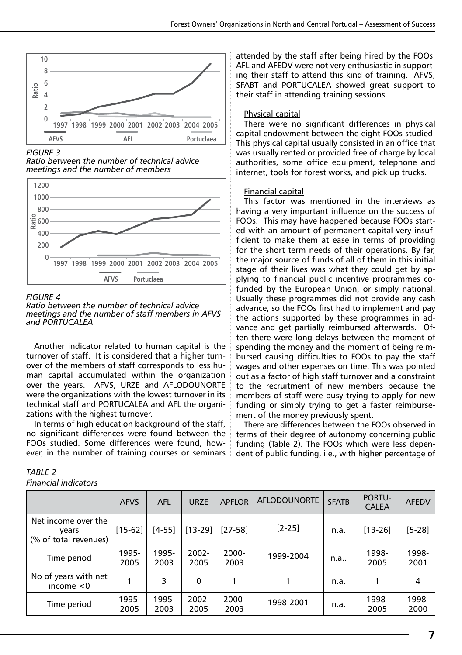

# *FIGURE 3*





# *FIGURE 4*

*Ratio between the number of technical advice meetings and the number of staff members in AFVS and PORTUCALEA*

Another indicator related to human capital is the turnover of staff. It is considered that a higher turnover of the members of staff corresponds to less human capital accumulated within the organization over the years. AFVS, URZE and AFLODOUNORTE were the organizations with the lowest turnover in its technical staff and PORTUCALEA and AFL the organizations with the highest turnover.

In terms of high education background of the staff, no significant differences were found between the FOOs studied. Some differences were found, however, in the number of training courses or seminars

# *TABLE 2*

*Financial indicators*

attended by the staff after being hired by the FOOs. AFL and AFEDV were not very enthusiastic in supporting their staff to attend this kind of training. AFVS, SFABT and PORTUCALEA showed great support to their staff in attending training sessions.

# Physical capital

There were no significant differences in physical capital endowment between the eight FOOs studied. This physical capital usually consisted in an office that was usually rented or provided free of charge by local authorities, some office equipment, telephone and internet, tools for forest works, and pick up trucks.

# Financial capital

This factor was mentioned in the interviews as having a very important influence on the success of FOOs. This may have happened because FOOs started with an amount of permanent capital very insufficient to make them at ease in terms of providing for the short term needs of their operations. By far, the major source of funds of all of them in this initial stage of their lives was what they could get by applying to financial public incentive programmes cofunded by the European Union, or simply national. Usually these programmes did not provide any cash advance, so the FOOs first had to implement and pay the actions supported by these programmes in advance and get partially reimbursed afterwards. Often there were long delays between the moment of spending the money and the moment of being reimbursed causing difficulties to FOOs to pay the staff wages and other expenses on time. This was pointed out as a factor of high staff turnover and a constraint to the recruitment of new members because the members of staff were busy trying to apply for new funding or simply trying to get a faster reimbursement of the money previously spent.

There are differences between the FOOs observed in terms of their degree of autonomy concerning public funding (Table 2). The FOOs which were less dependent of public funding, i.e., with higher percentage of

|                                                       | <b>AFVS</b>   | AFL           | UR7F             | <b>APFLOR</b>    | <b>AFLODOUNORTE</b> | <b>SFATB</b> | <b>PORTU-</b><br><b>CALEA</b> | <b>AFEDV</b>  |
|-------------------------------------------------------|---------------|---------------|------------------|------------------|---------------------|--------------|-------------------------------|---------------|
| Net income over the<br>vears<br>(% of total revenues) | $[15-62]$     | $[4-55]$      | $[13-29]$        | $[27-58]$        | $[2 - 25]$          | n.a.         | $[13 - 26]$                   | [5-28]        |
| Time period                                           | 1995-<br>2005 | 1995-<br>2003 | 2002-<br>2005    | 2000-<br>2003    | 1999-2004           | n.a          | 1998-<br>2005                 | 1998-<br>2001 |
| No of years with net<br>income $<$ 0                  |               | 3             | 0                |                  |                     | n.a.         |                               | 4             |
| Time period                                           | 1995-<br>2005 | 1995-<br>2003 | $2002 -$<br>2005 | $2000 -$<br>2003 | 1998-2001           | n.a.         | 1998-<br>2005                 | 1998-<br>2000 |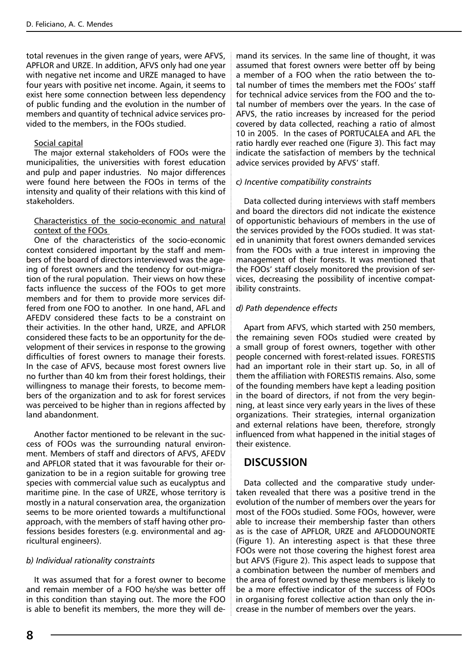total revenues in the given range of years, were AFVS, APFLOR and URZE. In addition, AFVS only had one year with negative net income and URZE managed to have four years with positive net income. Again, it seems to exist here some connection between less dependency of public funding and the evolution in the number of members and quantity of technical advice services provided to the members, in the FOOs studied.

## Social capital

The major external stakeholders of FOOs were the municipalities, the universities with forest education and pulp and paper industries. No major differences were found here between the FOOs in terms of the intensity and quality of their relations with this kind of stakeholders.

## Characteristics of the socio-economic and natural context of the FOOs

One of the characteristics of the socio-economic context considered important by the staff and members of the board of directors interviewed was the ageing of forest owners and the tendency for out-migration of the rural population. Their views on how these facts influence the success of the FOOs to get more members and for them to provide more services differed from one FOO to another. In one hand, AFL and AFEDV considered these facts to be a constraint on their activities. In the other hand, URZE, and APFLOR considered these facts to be an opportunity for the development of their services in response to the growing difficulties of forest owners to manage their forests. In the case of AFVS, because most forest owners live no further than 40 km from their forest holdings, their willingness to manage their forests, to become members of the organization and to ask for forest services was perceived to be higher than in regions affected by land abandonment.

Another factor mentioned to be relevant in the success of FOOs was the surrounding natural environment. Members of staff and directors of AFVS, AFEDV and APFLOR stated that it was favourable for their organization to be in a region suitable for growing tree species with commercial value such as eucalyptus and maritime pine. In the case of URZE, whose territory is mostly in a natural conservation area, the organization seems to be more oriented towards a multifunctional approach, with the members of staff having other professions besides foresters (e.g. environmental and agricultural engineers).

# *b) Individual rationality constraints*

It was assumed that for a forest owner to become and remain member of a FOO he/she was better off in this condition than staying out. The more the FOO is able to benefit its members, the more they will demand its services. In the same line of thought, it was assumed that forest owners were better off by being a member of a FOO when the ratio between the total number of times the members met the FOOs' staff for technical advice services from the FOO and the total number of members over the years. In the case of AFVS, the ratio increases by increased for the period covered by data collected, reaching a ratio of almost 10 in 2005. In the cases of PORTUCALEA and AFL the ratio hardly ever reached one (Figure 3). This fact may indicate the satisfaction of members by the technical advice services provided by AFVS' staff.

## *c) Incentive compatibility constraints*

Data collected during interviews with staff members and board the directors did not indicate the existence of opportunistic behaviours of members in the use of the services provided by the FOOs studied. It was stated in unanimity that forest owners demanded services from the FOOs with a true interest in improving the management of their forests. It was mentioned that the FOOs' staff closely monitored the provision of services, decreasing the possibility of incentive compatibility constraints.

# *d) Path dependence effects*

Apart from AFVS, which started with 250 members, the remaining seven FOOs studied were created by a small group of forest owners, together with other people concerned with forest-related issues. FORESTIS had an important role in their start up. So, in all of them the affiliation with FORESTIS remains. Also, some of the founding members have kept a leading position in the board of directors, if not from the very beginning, at least since very early years in the lives of these organizations. Their strategies, internal organization and external relations have been, therefore, strongly influenced from what happened in the initial stages of their existence.

# **DISCUSSION**

Data collected and the comparative study undertaken revealed that there was a positive trend in the evolution of the number of members over the years for most of the FOOs studied. Some FOOs, however, were able to increase their membership faster than others as is the case of APFLOR, URZE and AFLODOUNORTE (Figure 1). An interesting aspect is that these three FOOs were not those covering the highest forest area but AFVS (Figure 2). This aspect leads to suppose that a combination between the number of members and the area of forest owned by these members is likely to be a more effective indicator of the success of FOOs in organising forest collective action than only the increase in the number of members over the years.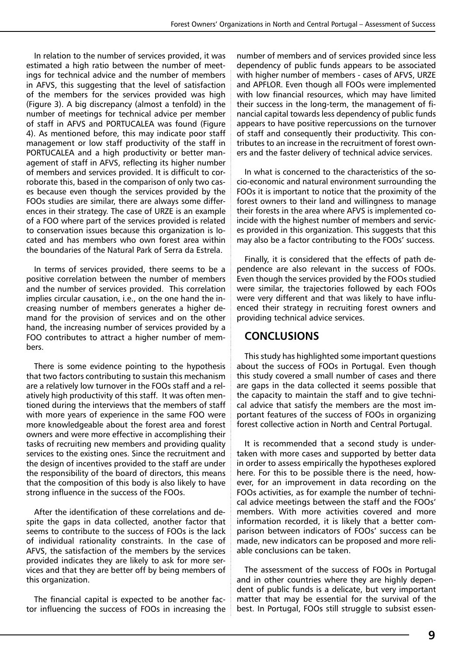In relation to the number of services provided, it was estimated a high ratio between the number of meetings for technical advice and the number of members in AFVS, this suggesting that the level of satisfaction of the members for the services provided was high (Figure 3). A big discrepancy (almost a tenfold) in the number of meetings for technical advice per member of staff in AFVS and PORTUCALEA was found (Figure 4). As mentioned before, this may indicate poor staff management or low staff productivity of the staff in PORTUCALEA and a high productivity or better management of staff in AFVS, reflecting its higher number of members and services provided. It is difficult to corroborate this, based in the comparison of only two cases because even though the services provided by the FOOs studies are similar, there are always some differences in their strategy. The case of URZE is an example of a FOO where part of the services provided is related to conservation issues because this organization is located and has members who own forest area within the boundaries of the Natural Park of Serra da Estrela.

In terms of services provided, there seems to be a positive correlation between the number of members and the number of services provided. This correlation implies circular causation, i.e., on the one hand the increasing number of members generates a higher demand for the provision of services and on the other hand, the increasing number of services provided by a FOO contributes to attract a higher number of members.

There is some evidence pointing to the hypothesis that two factors contributing to sustain this mechanism are a relatively low turnover in the FOOs staff and a relatively high productivity of this staff. It was often mentioned during the interviews that the members of staff with more years of experience in the same FOO were more knowledgeable about the forest area and forest owners and were more effective in accomplishing their tasks of recruiting new members and providing quality services to the existing ones. Since the recruitment and the design of incentives provided to the staff are under the responsibility of the board of directors, this means that the composition of this body is also likely to have strong influence in the success of the FOOs.

After the identification of these correlations and despite the gaps in data collected, another factor that seems to contribute to the success of FOOs is the lack of individual rationality constraints. In the case of AFVS, the satisfaction of the members by the services provided indicates they are likely to ask for more services and that they are better off by being members of this organization.

The financial capital is expected to be another factor influencing the success of FOOs in increasing the

number of members and of services provided since less dependency of public funds appears to be associated with higher number of members - cases of AFVS, URZE and APFLOR. Even though all FOOs were implemented with low financial resources, which may have limited their success in the long-term, the management of financial capital towards less dependency of public funds appears to have positive repercussions on the turnover of staff and consequently their productivity. This contributes to an increase in the recruitment of forest owners and the faster delivery of technical advice services.

In what is concerned to the characteristics of the socio-economic and natural environment surrounding the FOOs it is important to notice that the proximity of the forest owners to their land and willingness to manage their forests in the area where AFVS is implemented coincide with the highest number of members and services provided in this organization. This suggests that this may also be a factor contributing to the FOOs' success.

Finally, it is considered that the effects of path dependence are also relevant in the success of FOOs. Even though the services provided by the FOOs studied were similar, the trajectories followed by each FOOs were very different and that was likely to have influenced their strategy in recruiting forest owners and providing technical advice services.

# **CONCLUSIONS**

This study has highlighted some important questions about the success of FOOs in Portugal. Even though this study covered a small number of cases and there are gaps in the data collected it seems possible that the capacity to maintain the staff and to give technical advice that satisfy the members are the most important features of the success of FOOs in organizing forest collective action in North and Central Portugal.

It is recommended that a second study is undertaken with more cases and supported by better data in order to assess empirically the hypotheses explored here. For this to be possible there is the need, however, for an improvement in data recording on the FOOs activities, as for example the number of technical advice meetings between the staff and the FOOs' members. With more activities covered and more information recorded, it is likely that a better comparison between indicators of FOOs' success can be made, new indicators can be proposed and more reliable conclusions can be taken.

The assessment of the success of FOOs in Portugal and in other countries where they are highly dependent of public funds is a delicate, but very important matter that may be essential for the survival of the best. In Portugal, FOOs still struggle to subsist essen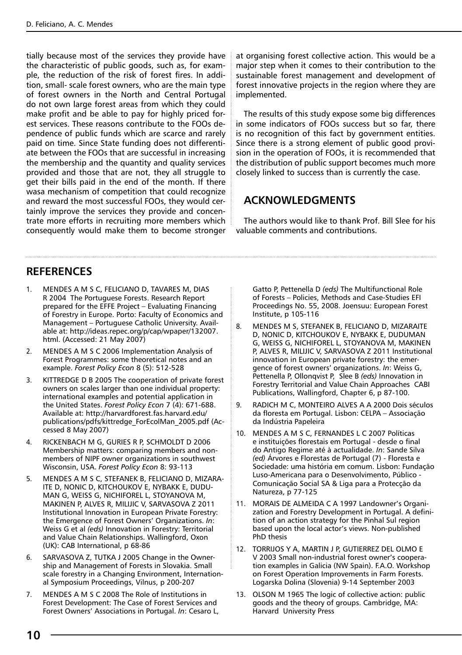tially because most of the services they provide have the characteristic of public goods, such as, for example, the reduction of the risk of forest fires. In addition, small- scale forest owners, who are the main type of forest owners in the North and Central Portugal do not own large forest areas from which they could make profit and be able to pay for highly priced forest services. These reasons contribute to the FOOs dependence of public funds which are scarce and rarely paid on time. Since State funding does not differentiate between the FOOs that are successful in increasing the membership and the quantity and quality services provided and those that are not, they all struggle to get their bills paid in the end of the month. If there wasa mechanism of competition that could recognize and reward the most successful FOOs, they would certainly improve the services they provide and concentrate more efforts in recruiting more members which consequently would make them to become stronger

at organising forest collective action. This would be a major step when it comes to their contribution to the sustainable forest management and development of forest innovative projects in the region where they are implemented.

The results of this study expose some big differences in some indicators of FOOs success but so far, there is no recognition of this fact by government entities. Since there is a strong element of public good provision in the operation of FOOs, it is recommended that the distribution of public support becomes much more closely linked to success than is currently the case.

# **Acknowledgments**

The authors would like to thank Prof. Bill Slee for his valuable comments and contributions.

# **REFERENCES**

- 1. MENDES A M S C, FELICIANO D, TAVARES M, DIAS R 2004 The Portuguese Forests. Research Report prepared for the EFFE Project – Evaluating Financing of Forestry in Europe. Porto: Faculty of Economics and Management – Portuguese Catholic University. Available at: http://ideas.repec.org/p/cap/wpaper/132007. html. (Accessed: 21 May 2007)
- 2. MENDES A M S C 2006 Implementation Analysis of Forest Programmes: some theoretical notes and an example. *Forest Policy Econ* 8 (5): 512-528
- 3. KITTREDGE D B 2005 The cooperation of private forest owners on scales larger than one individual property: international examples and potential application in the United States. *Forest Policy Econ* 7 (4): 671-688. Available at: http://harvardforest.fas.harvard.edu/ publications/pdfs/kittredge\_ForEcolMan\_2005.pdf (Accessed 8 May 2007)
- 4. RICKENBACH M G, GURIES R P, SCHMOLDT D 2006 Membership matters: comparing members and nonmembers of NIPF owner organizations in southwest Wisconsin, USA. *Forest Policy Econ* 8: 93-113
- 5. MENDES A M S C, STEFANEK B, FELICIANO D, MIZARA-ITE D, NONIC D, KITCHOUKOV E, NYBAKK E, DUDU-MAN G, WEISS G, NICHIFOREL L, STOYANOVA M, MAKINEN P, ALVES R, MILIJIC V, SARVASOVA Z 2011 Institutional Innovation in European Private Forestry: the Emergence of Forest Owners' Organizations. *In*: Weiss G et al *(eds)* Innovation in Forestry: Territorial and Value Chain Relationships. Wallingford, Oxon (UK): CAB International, p 68-86
- 6. SARVASOVA Z, TUTKA J 2005 Change in the Ownership and Management of Forests in Slovakia. Small scale forestry in a Changing Environment, International Symposium Proceedings, Vilnus, p 200-207
- 7. MENDES A M S C 2008 The Role of Institutions in Forest Development: The Case of Forest Services and Forest Owners' Associations in Portugal. *In*: Cesaro L,

Gatto P, Pettenella D *(eds)* The Multifunctional Role of Forests – Policies, Methods and Case-Studies EFI Proceedings No. 55, 2008. Joensuu: European Forest Institute, p 105-116

- 8. MENDES M S, STEFANEK B, FELICIANO D, MIZARAITE D, NONIC D, KITCHOUKOV E, NYBAKK E, DUDUMAN G, WEISS G, NICHIFOREL L, STOYANOVA M, MAKINEN P, ALVES R, MILIJIC V, SARVASOVA Z 2011 Institutional innovation in European private forestry: the emergence of forest owners' organizations. *In*: Weiss G, Pettenella P, Ollonqvist P, Slee B *(eds)* Innovation in Forestry Territorial and Value Chain Approaches CABI Publications, Wallingford, Chapter 6, p 87-100.
- 9. RADICH M C, MONTEIRO ALVES A A 2000 Dois séculos da floresta em Portugal. Lisbon: CELPA – Associação da Indústria Papeleira
- 10. MENDES A M S C, FERNANDES L C 2007 Políticas e instituições florestais em Portugal - desde o final do Antigo Regime até à actualidade. *In*: Sande Silva *(ed)* Árvores e Florestas de Portugal (7) - Floresta e Sociedade: uma história em comum. Lisbon: Fundação Luso-Americana para o Desenvolvimento, Público - Comunicação Social SA & Liga para a Protecção da Natureza, p 77-125
- 11. MORAIS DE ALMEIDA C A 1997 Landowner's Organization and Forestry Development in Portugal. A definition of an action strategy for the Pinhal Sul region based upon the local actor's views. Non-published PhD thesis
- 12. TORRIJOS Y A, MARTIN J P, GUTIERREZ DEL OLMO E V 2003 Small non-industrial forest owner's cooperation examples in Galicia (NW Spain). F.A.O. Workshop on Forest Operation Improvements in Farm Forests. Logarska Dolina (Slovenia) 9-14 September 2003
- 13. OLSON M 1965 The logic of collective action: public goods and the theory of groups. Cambridge, MA: Harvard University Press